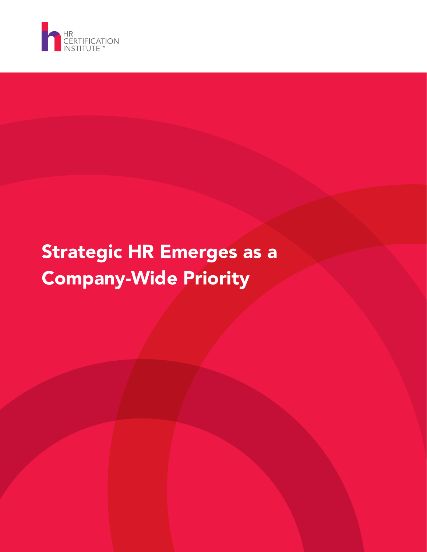

# Strategic HR Emerges as a Company-Wide Priority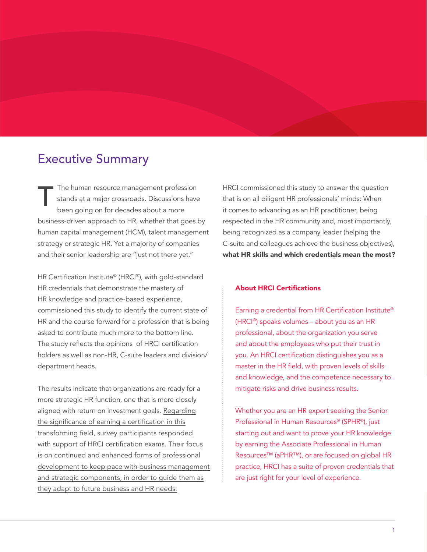# Executive Summary

The human resource management profession stands at a major crossroads. Discussions have been going on for decades about a more business-driven approach to HR, whether that goes by human capital management (HCM), talent management strategy or strategic HR. Yet a majority of companies and their senior leadership are "just not there yet." T

HR Certification Institute® (HRCI®), with gold-standard HR credentials that demonstrate the mastery of HR knowledge and practice-based experience, commissioned this study to identify the current state of HR and the course forward for a profession that is being asked to contribute much more to the bottom line. The study reflects the opinions of HRCI certification holders as well as non-HR, C-suite leaders and division/ department heads.

The results indicate that organizations are ready for a more strategic HR function, one that is more closely aligned with return on investment goals. Regarding the significance of earning a certification in this transforming field, survey participants responded <u>with support of HRCI certification exams. Their focus</u> is on continued and enhanced forms of professional development to keep pace with business management and strategic components, in order to guide them as they adapt to future business and HR needs.

HRCI commissioned this study to answer the question that is on all diligent HR professionals' minds: When it comes to advancing as an HR practitioner, being respected in the HR community and, most importantly, being recognized as a company leader (helping the C-suite and colleagues achieve the business objectives), what HR skills and which credentials mean the most?

#### About HRCI Certifications

Earning a credential from HR Certification Institute® , ®) speaks volumes – about you as an HR professional, about the organization you serve and about the employees who put their trust in you. An HRCI certification distinguishes you as a master in the HR field, with proven levels of skills and knowledge, and the competence necessary to mitigate risks and drive business results.

Whether you are an HR expert seeking the Senior Professional in Human Resources® (SPHR®), just starting out and want to prove your HR knowledge by earning the Associate Professional in Human Resources™ (aPHR™), or are focused on global HR practice, HRCI has a suite of proven credentials that are just right for your level of experience.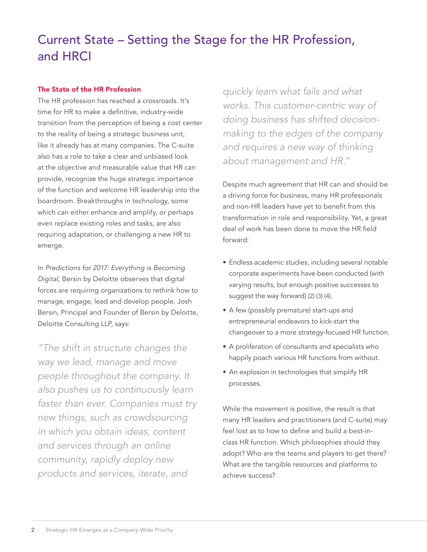# Current State – Setting the Stage for the HR Profession, and HRCI

## The State of the HR Profession

The HR profession has reached a crossroads. It's time for HR to make a definitive, industry-wide transition from the perception of being a cost center to the reality of being a strategic business unit, like it already has at many companies. The C-suite also has a role to take a clear and unbiased look at the objective and measurable value that HR can provide, recognize the huge strategic importance of the function and welcome HR leadership into the boardroom. Breakthroughs in technology, some which can either enhance and amplify, or perhaps even replace existing roles and tasks, are also requiring adaptation, or challenging a new HR to emerge.

*Predictions for 2017: Everything is Becoming Digital,* Bersin by Deloitte observes that digital forces are requiring organizations to rethink how to manage, engage, lead and develop people. Josh Bersin, Principal and Founder of Bersin by Deloitte, Deloitte Consulting LLP, says:

*"The shift in structure changes the way we lead, manage and move people throughout the company. It also pushes us to continuously learn faster than ever. Companies must try new things, such as crowdsourcing in which you obtain ideas, content and services through an online community, rapidly deploy new products and services, iterate, and* 

*quickly learn what fails and what works. This customer-centric way of doing business has shifted decisionmaking to the edges of the company and requires a new way of thinking about management and HR."*

Despite much agreement that HR can and should be a driving force for business, many HR professionals and non-HR leaders have yet to benefit from this transformation in role and responsibility. Yet, a great deal of work has been done to move the HR field forward:

- Endless academic studies, including several notable corporate experiments have been conducted (with varying results, but enough positive successes to suggest the way forward) (2) (3) (4).
- A few (possibly premature) start-ups and entrepreneurial endeavors to kick-start the changeover to a more strategy-focused HR function.
- A proliferation of consultants and specialists who happily poach various HR functions from without.
- An explosion in technologies that simplify HR processes.

While the movement is positive, the result is that many HR leaders and practitioners (and C-suite) may feel lost as to how to define and build a best-inclass HR function. Which philosophies should they adopt? Who are the teams and players to get there? What are the tangible resources and platforms to achieve success?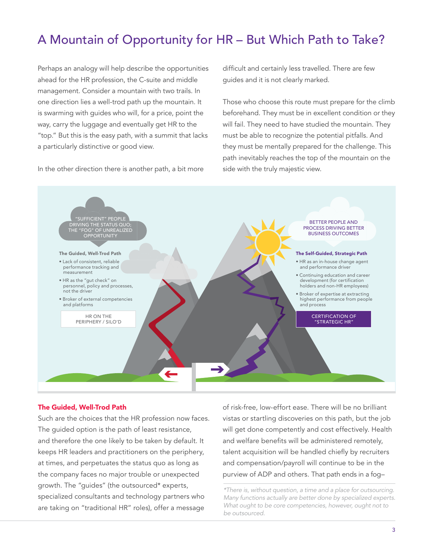# A Mountain of Opportunity for HR – But Which Path to Take?

Perhaps an analogy will help describe the opportunities ahead for the HR profession, the C-suite and middle management. Consider a mountain with two trails. In one direction lies a well-trod path up the mountain. It is swarming with guides who will, for a price, point the way, carry the luggage and eventually get HR to the "top." But this is the easy path, with a summit that lacks a particularly distinctive or good view.

In the other direction there is another path, a bit more

difficult and certainly less travelled. There are few guides and it is not clearly marked.

Those who choose this route must prepare for the climb beforehand. They must be in excellent condition or they will fail. They need to have studied the mountain. They must be able to recognize the potential pitfalls. And they must be mentally prepared for the challenge. This path inevitably reaches the top of the mountain on the side with the truly majestic view.



#### The Guided, Well-Trod Path

Such are the choices that the HR profession now faces. The guided option is the path of least resistance, and therefore the one likely to be taken by default. It keeps HR leaders and practitioners on the periphery, at times, and perpetuates the status quo as long as the company faces no major trouble or unexpected growth. The "guides" (the outsourced\* experts, specialized consultants and technology partners who are taking on "traditional HR" roles), offer a message

of risk-free, low-effort ease. There will be no brilliant vistas or startling discoveries on this path, but the job will get done competently and cost effectively. Health and welfare benefits will be administered remotely, talent acquisition will be handled chiefly by recruiters and compensation/payroll will continue to be in the purview of ADP and others. That path ends in a fog–

*\*There is, without question, a time and a place for outsourcing. Many functions actually are better done by specialized experts. What ought to be core competencies, however, ought not to be outsourced.*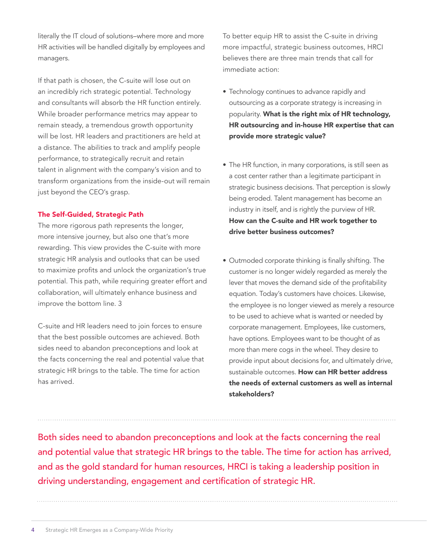literally the IT cloud of solutions-where more and more HR activities will be handled digitally by employees and managers.

If that path is chosen, the C-suite will lose out on an incredibly rich strategic potential. Technology and consultants will absorb the HR function entirely. While broader performance metrics may appear to remain steady, a tremendous growth opportunity will be lost. HR leaders and practitioners are held at a distance. The abilities to track and amplify people performance, to strategically recruit and retain talent in alignment with the company's vision and to transform organizations from the inside-out will remain just beyond the CEO's grasp.

### The Self-Guided, Strategic Path

The more rigorous path represents the longer, more intensive journey, but also one that's more rewarding. This view provides the C-suite with more strategic HR analysis and outlooks that can be used to maximize profits and unlock the organization's true potential. This path, while requiring greater effort and collaboration, will ultimately enhance business and improve the bottom line. 3

C-suite and HR leaders need to join forces to ensure that the best possible outcomes are achieved. Both sides need to abandon preconceptions and look at the facts concerning the real and potential value that strategic HR brings to the table. The time for action has arrived.

To better equip HR to assist the C-suite in driving more impactful, strategic business outcomes, HRCI believes there are three main trends that call for immediate action:

- Technology continues to advance rapidly and outsourcing as a corporate strategy is increasing in popularity. What is the right mix of HR technology, HR outsourcing and in-house HR expertise that can provide more strategic value?
- The HR function, in many corporations, is still seen as a cost center rather than a legitimate participant in strategic business decisions. That perception is slowly being eroded. Talent management has become an industry in itself, and is rightly the purview of HR. How can the C-suite and HR work together to drive better business outcomes?
- Outmoded corporate thinking is finally shifting. The customer is no longer widely regarded as merely the lever that moves the demand side of the profitability equation. Today's customers have choices. Likewise, the employee is no longer viewed as merely a resource to be used to achieve what is wanted or needed by corporate management. Employees, like customers, have options. Employees want to be thought of as more than mere cogs in the wheel. They desire to provide input about decisions for, and ultimately drive, sustainable outcomes. How can HR better address the needs of external customers as well as internal stakeholders?

Both sides need to abandon preconceptions and look at the facts concerning the real and potential value that strategic HR brings to the table. The time for action has arrived, and as the gold standard for human resources, HRCI is taking a leadership position in driving understanding, engagement and certification of strategic HR.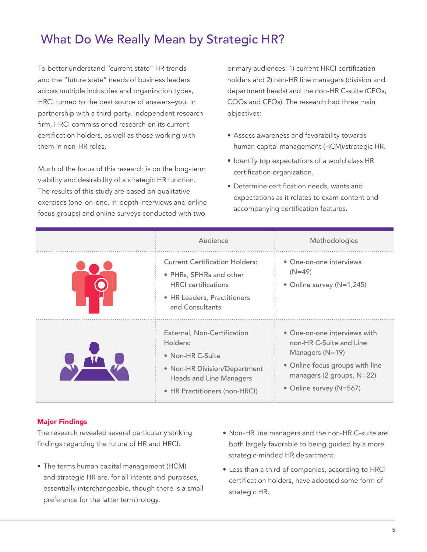# What Do We Really Mean by Strategic HR?

To better understand "current state" HR trends and the "future state" needs of business leaders across multiple industries and organization types, HRCI turned to the best source of answers–you. In partnership with a third-party, independent research firm, HRCI commissioned research on its current certification holders, as well as those working with them in non-HR roles.

Much of the focus of this research is on the long-term viability and desirability of a strategic HR function. The results of this study are based on qualitative exercises (one-on-one, in-depth interviews and online focus groups) and online surveys conducted with two

primary audiences: 1) current HRCI certification holders and 2) non-HR line managers (division and department heads) and the non-HR C-suite (CEOs, COOs and CFOs). The research had three main objectives:

- Assess awareness and favorability towards human capital management (HCM)/strategic HR.
- Identify top expectations of a world class HR certification organization.
- Determine certification needs, wants and expectations as it relates to exam content and accompanying certification features.

| Audience                                                                                                                                                               | Methodologies                                                                                                                                                           |
|------------------------------------------------------------------------------------------------------------------------------------------------------------------------|-------------------------------------------------------------------------------------------------------------------------------------------------------------------------|
| <b>Current Certification Holders:</b><br>• PHRs, SPHRs and other<br><b>HRCL</b> certifications<br>• HR Leaders, Practitioners<br>and Consultants                       | • One-on-one interviews<br>$(N=49)$<br>• Online survey (N=1,245)                                                                                                        |
| External, Non-Certification<br>Holders:<br>$\bullet$ Non-HR C-Suite<br>• Non-HR Division/Department<br><b>Heads and Line Managers</b><br>• HR Practitioners (non-HRCI) | • One-on-one interviews with<br>non-HR C-Suite and Line<br>Managers $(N=19)$<br>• Online focus groups with line<br>managers (2 groups, N=22)<br>• Online survey (N=567) |

### Major Findings

The research revealed several particularly striking findings regarding the future of HR and HRCI:

- The terms human capital management (HCM) and strategic HR are, for all intents and purposes, essentially interchangeable, though there is a small preference for the latter terminology.
- Non-HR line managers and the non-HR C-suite are both largely favorable to being guided by a more strategic-minded HR department.
- $\bullet$  Less than a third of companies, according to HRCI  $\,$ certification holders, have adopted some form of strategic HR.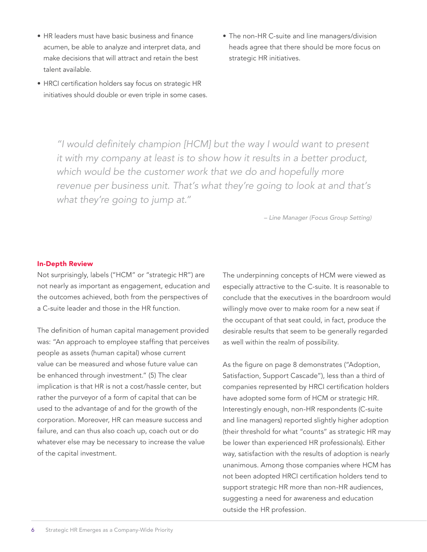- HR leaders must have basic business and finance acumen, be able to analyze and interpret data, and make decisions that will attract and retain the best talent available.
- $\bullet$  HRCI certification holders say focus on strategic HR initiatives should double or even triple in some cases.
- The non-HR C-suite and line managers/division heads agree that there should be more focus on strategic HR initiatives.

"I would definitely champion [HCM] but the way I would want to present *it with my company at least is to show how it results in a better product, which would be the customer work that we do and hopefully more revenue per business unit. That's what they're going to look at and that's what they're going to jump at."*

*– Line Manager (Focus Group Setting)*

#### In-Depth Review

Not surprisingly, labels ("HCM" or "strategic HR") are not nearly as important as engagement, education and the outcomes achieved, both from the perspectives of a C-suite leader and those in the HR function.

The definition of human capital management provided was: "An approach to employee staffing that perceives people as assets (human capital) whose current value can be measured and whose future value can be enhanced through investment." (5) The clear implication is that HR is not a cost/hassle center, but rather the purveyor of a form of capital that can be used to the advantage of and for the growth of the corporation. Moreover, HR can measure success and failure, and can thus also coach up, coach out or do whatever else may be necessary to increase the value of the capital investment.

The underpinning concepts of HCM were viewed as especially attractive to the C-suite. It is reasonable to conclude that the executives in the boardroom would willingly move over to make room for a new seat if the occupant of that seat could, in fact, produce the desirable results that seem to be generally regarded as well within the realm of possibility.

As the figure on page 8 demonstrates ("Adoption, Satisfaction, Support Cascade"), less than a third of companies represented by HRCI certification holders have adopted some form of HCM or strategic HR. Interestingly enough, non-HR respondents (C-suite and line managers) reported slightly higher adoption (their threshold for what "counts" as strategic HR may be lower than experienced HR professionals). Either way, satisfaction with the results of adoption is nearly unanimous. Among those companies where HCM has not been adopted HRCI certification holders tend to support strategic HR more than non-HR audiences, suggesting a need for awareness and education outside the HR profession.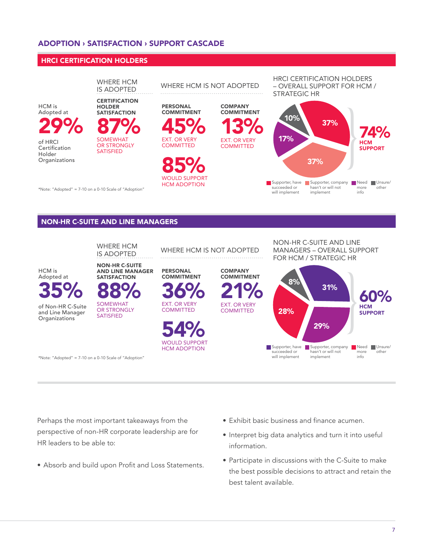### ADOPTION **›** SATISFACTION **›** SUPPORT CASCADE

#### HRCI CERTIFICATION HOLDERS



#### NON-HR C-SUITE AND LINE MANAGERS



Perhaps the most important takeaways from the perspective of non-HR corporate leadership are for HR leaders to be able to:

- Absorb and build upon Profit and Loss Statements.
- Exhibit basic business and finance acumen.
- Interpret big data analytics and turn it into useful information.
- Participate in discussions with the C-Suite to make the best possible decisions to attract and retain the best talent available.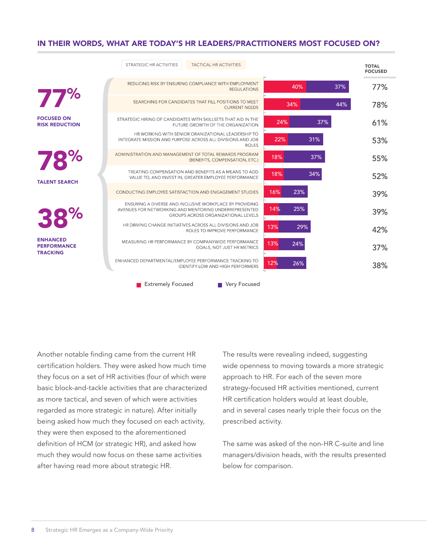### IN THEIR WORDS, WHAT ARE TODAY'S HR LEADERS/PRACTITIONERS MOST FOCUSED ON?

|                                                          | STRATEGIC HR ACTIVITIES                                                                                          | <b>TACTICAL HR ACTIVITIES</b>                                                                                 |              |     |     |     | <b>TOTAL</b><br><b>FOCUSED</b> |
|----------------------------------------------------------|------------------------------------------------------------------------------------------------------------------|---------------------------------------------------------------------------------------------------------------|--------------|-----|-----|-----|--------------------------------|
|                                                          |                                                                                                                  | REDUCING RISK BY ENSURING COMPLIANCE WITH EMPLOYMENT<br><b>REGULATIONS</b>                                    |              | 40% |     | 37% | 77%                            |
| 77%                                                      |                                                                                                                  | SEARCHING FOR CANDIDATES THAT FILL POSITIONS TO MEET<br><b>CURRENT NEEDS</b>                                  |              | 34% |     | 44% | 78%                            |
| <b>FOCUSED ON</b><br><b>RISK REDUCTION</b>               | STRATEGIC HIRING OF CANDIDATES WITH SKILLSETS THAT AID IN THE                                                    | FUTURE GROWTH OF THE ORGANIZATION                                                                             |              | 24% | 37% |     | 61%                            |
|                                                          | INTEGRATE MISSION AND PURPOSE ACROSS ALL DIVISIONS AND JOB                                                       | HR WORKING WITH SENIOR ORANIZATIONAL LEADERSHIP TO                                                            | <b>ROLES</b> | 22% | 31% |     | 53%                            |
| 78%                                                      | ADMINISTRATION AND MANAGEMENT OF TOTAL REWARDS PROGRAM                                                           | (BENEFITS, COMPENSATION, ETC.)                                                                                |              | 18% | 37% |     | 55%                            |
| <b>TALENT SEARCH</b>                                     |                                                                                                                  | TREATING COMPENSATION AND BENEFITS AS A MEANS TO ADD<br>VALUE TO, AND INVEST IN, GREATER EMPLOYEE PERFORMANCE |              | 18% | 34% |     | 52%                            |
|                                                          | CONDUCTING EMPLOYEE SATISFACTION AND ENGAGEMENT STUDIES                                                          |                                                                                                               | 16%          | 23% |     |     | 39%                            |
| 38%                                                      | ENSURING A DIVERSE AND INCLUSIVE WORKPLACE BY PROVIDING<br>AVENUES FOR NETWORKING AND MENTORING UNDERREPRESENTED | <b>GROUPS ACROSS ORGANIZATIONAL LEVELS</b>                                                                    | 14%          | 25% |     |     | 39%                            |
|                                                          | HR DRIVING CHANGE INITIATIVES ACROSS ALL DIVISIONS AND JOB                                                       | ROLES TO IMPROVE PERFORMANCE                                                                                  | 13%          | 29% |     |     | 42%                            |
| <b>ENHANCED</b><br><b>PERFORMANCE</b><br><b>TRACKING</b> | MEASURING HR PERFORMANCE BY COMPANYWIDE PERFORMANCE                                                              | GOALS, NOT JUST HR METRICS                                                                                    | 13%          | 24% |     |     | 37%                            |
|                                                          | ENHANCED DEPARTMENTAL/EMPLOYEE PERFORMANCE TRACKING TO                                                           | <b>IDENTIFY LOW AND HIGH PERFORMERS</b>                                                                       | 12%          | 26% |     |     | 38%                            |
|                                                          | <b>Extremely Focused</b>                                                                                         | Very Focused                                                                                                  |              |     |     |     |                                |

Another notable finding came from the current HR certification holders. They were asked how much time they focus on a set of HR activities (four of which were basic block-and-tackle activities that are characterized as more tactical, and seven of which were activities regarded as more strategic in nature). After initially being asked how much they focused on each activity, they were then exposed to the aforementioned definition of HCM (or strategic HR), and asked how much they would now focus on these same activities after having read more about strategic HR.

The results were revealing indeed, suggesting wide openness to moving towards a more strategic approach to HR. For each of the seven more strategy-focused HR activities mentioned, current HR certification holders would at least double, and in several cases nearly triple their focus on the prescribed activity.

The same was asked of the non-HR C-suite and line managers/division heads, with the results presented below for comparison.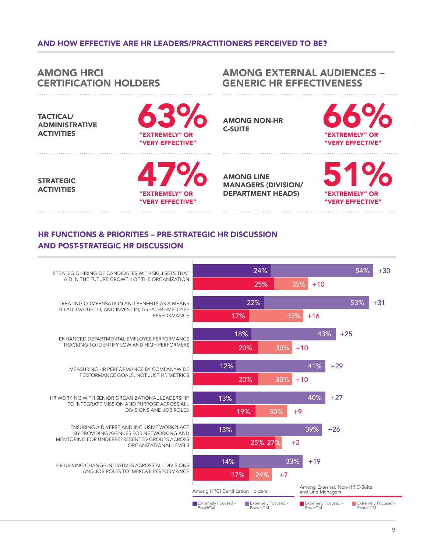### AND HOW EFFECTIVE ARE HR LEADERS/PRACTITIONERS PERCEIVED TO BE?

#### **AMONG HRCI AMONG EXTERNAL AUDIENCES -GENERIC HR EFFECTIVENESS CERTIFICATION HOLDERS TACTICAL/ AMONG NON-HR ADMINISTRATIVE C-SUITE ACTIVITIES** "EXTREMELY" OR **EXTREMELY" OR** "VERY EFFECTIVE" **VERY EFFECTIVE" AMONG LINE STRATEGIC MANAGERS (DIVISION/ ACTIVITIES DEPARTMENT HEADS) OR 'EXTREMELY" OR 'EXTREMELY" VERY FEFECTIVE VERY EFFECTIVE"**

# **HR FUNCTIONS & PRIORITIES - PRE-STRATEGIC HR DISCUSSION AND POST-STRATEGIC HR DISCUSSION**

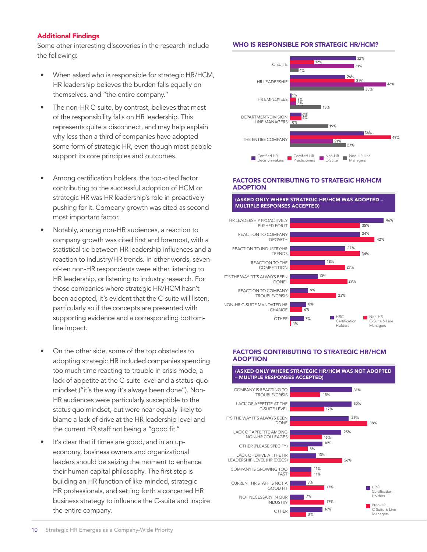#### Additional Findings

Some other interesting discoveries in the research include the following:

- When asked who is responsible for strategic HR/HCM, HR leadership believes the burden falls equally on themselves, and "the entire company."
- The non-HR C-suite, by contrast, believes that most of the responsibility falls on HR leadership. This represents quite a disconnect, and may help explain why less than a third of companies have adopted some form of strategic HR, even though most people support its core principles and outcomes.
- Among certification holders, the top-cited factor contributing to the successful adoption of HCM or strategic HR was HR leadership's role in proactively pushing for it. Company growth was cited as second most important factor.
- Notably, among non-HR audiences, a reaction to company growth was cited first and foremost, with a statistical tie between HR leadership influences and a reaction to industry/HR trends. In other words, sevenof-ten non-HR respondents were either listening to HR leadership, or listening to industry research. For those companies where strategic HR/HCM hasn't been adopted, it's evident that the C-suite will listen, particularly so if the concepts are presented with supporting evidence and a corresponding bottomline impact.
- On the other side, some of the top obstacles to adopting strategic HR included companies spending too much time reacting to trouble in crisis mode, a lack of appetite at the C-suite level and a status-quo mindset ("it's the way it's always been done"). Non-HR audiences were particularly susceptible to the status quo mindset, but were near equally likely to blame a lack of drive at the HR leadership level and the current HR staff not being a "good fit."
- It's clear that if times are good, and in an upeconomy, business owners and organizational leaders should be seizing the moment to enhance their human capital philosophy. The first step is building an HR function of like-minded, strategic HR professionals, and setting forth a concerted HR business strategy to influence the C-suite and inspire the entire company.

#### WHO IS RESPONSIBLE FOR STRATEGIC HR/HCM?



#### FACTORS CONTRIBUTING TO STRATEGIC HR/HCM ADOPTION

(ASKED ONLY WHERE STRATEGIC HR/HCM WAS ADOPTED –



#### FACTORS CONTRIBUTING TO STRATEGIC HR/HCM ADOPTION

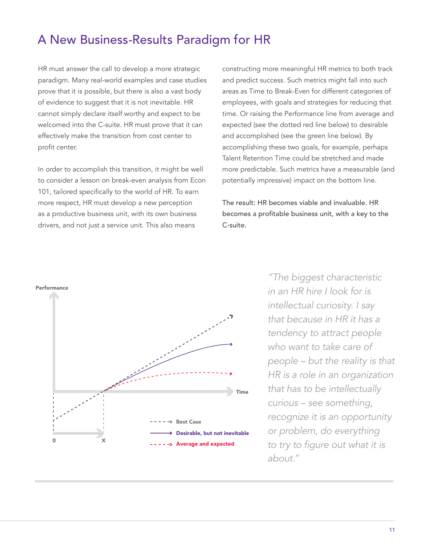# A New Business-Results Paradigm for HR

HR must answer the call to develop a more strategic paradigm. Many real-world examples and case studies prove that it is possible, but there is also a vast body of evidence to suggest that it is not inevitable. HR cannot simply declare itself worthy and expect to be welcomed into the C-suite. HR must prove that it can effectively make the transition from cost center to profit center.

In order to accomplish this transition, it might be well to consider a lesson on break-even analysis from Econ 101, tailored specifically to the world of HR. To earn more respect, HR must develop a new perception as a productive business unit, with its own business drivers, and not just a service unit. This also means

constructing more meaningful HR metrics to both track and predict success. Such metrics might fall into such areas as Time to Break-Even for different categories of employees, with goals and strategies for reducing that time. Or raising the Performance line from average and expected (see the dotted red line below) to desirable and accomplished (see the green line below). By accomplishing these two goals, for example, perhaps Talent Retention Time could be stretched and made more predictable. Such metrics have a measurable (and potentially impressive) impact on the bottom line.

The result: HR becomes viable and invaluable. HR becomes a profitable business unit, with a key to the C-suite.



*"The biggest characteristic in an HR hire I look for is intellectual curiosity. I say that because in HR it has a tendency to attract people who want to take care of people – but the reality is that HR is a role in an organization that has to be intellectually curious – see something, recognize it is an opportunity or problem, do everything*  to try to figure out what it is *about."*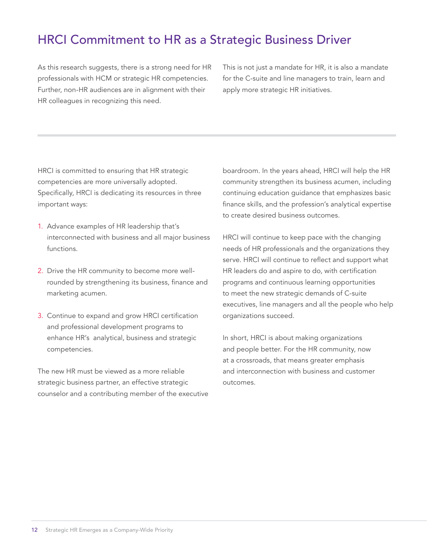# **HRCI Commitment to HR as a Strategic Business Driver**

As this research suggests, there is a strong need for HR professionals with HCM or strategic HR competencies. Further, non-HR audiences are in alignment with their HR colleagues in recognizing this need.

This is not just a mandate for HR, it is also a mandate for the C-suite and line managers to train, learn and apply more strategic HR initiatives.

HRCI is committed to ensuring that HR strategic competencies are more universally adopted. Specifically, HRCI is dedicating its resources in three important ways:

- 1. Advance examples of HR leadership that's interconnected with business and all major business functions.
- 2. Drive the HR community to become more wellrounded by strengthening its business, finance and marketing acumen.
- 3. Continue to expand and grow HRCI certification and professional development programs to enhance HR's analytical, business and strategic competencies.

The new HR must be viewed as a more reliable strategic business partner, an effective strategic counselor and a contributing member of the executive boardroom. In the years ahead, HRCI will help the HR community strengthen its business acumen, including continuing education guidance that emphasizes basic finance skills, and the profession's analytical expertise to create desired business outcomes.

HRCI will continue to keep pace with the changing needs of HR professionals and the organizations they serve. HRCI will continue to reflect and support what HR leaders do and aspire to do, with certification programs and continuous learning opportunities to meet the new strategic demands of C-suite executives, line managers and all the people who help organizations succeed.

In short, HRCI is about making organizations and people better. For the HR community, now at a crossroads, that means greater emphasis and interconnection with business and customer outcomes.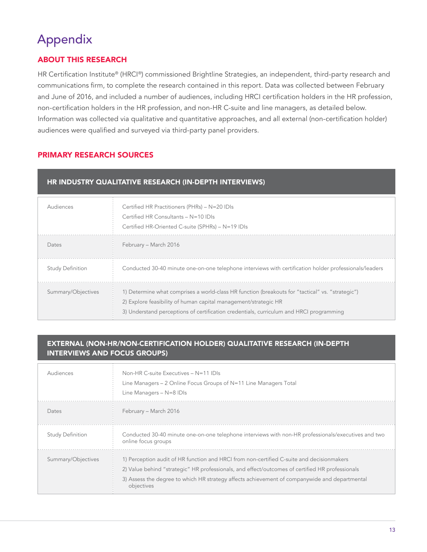# Appendix

# **ABOUT THIS RESEARCH**

HR Certification Institute® (HRCI®) commissioned Brightline Strategies, an independent, third-party research and communications firm, to complete the research contained in this report. Data was collected between February and June of 2016, and included a number of audiences, including HRCI certification holders in the HR profession, non-certification holders in the HR profession, and non-HR C-suite and line managers, as detailed below. Information was collected via qualitative and quantitative approaches, and all external (non-certification holder) audiences were qualified and surveyed via third-party panel providers.

# **PRIMARY RESEARCH SOURCES**

### HR INDUSTRY QUALITATIVE RESEARCH (IN-DEPTH INTERVIEWS)

| Audiences               | Certified HR Practitioners (PHRs) - N=20 IDIs<br>Certified HR Consultants - N=10 IDIs<br>Certified HR-Oriented C-suite (SPHRs) - N=19 IDIs                                                                                                                     |
|-------------------------|----------------------------------------------------------------------------------------------------------------------------------------------------------------------------------------------------------------------------------------------------------------|
| Dates                   | February – March 2016                                                                                                                                                                                                                                          |
| <b>Study Definition</b> | Conducted 30-40 minute one-on-one telephone interviews with certification holder professionals/leaders                                                                                                                                                         |
| Summary/Objectives      | 1) Determine what comprises a world-class HR function (breakouts for "tactical" vs. "strategic")<br>2) Explore feasibility of human capital management/strategic HR<br>3) Understand perceptions of certification credentials, curriculum and HRCI programming |

### **EXTERNAL (NON-HR/NON-CERTIFICATION HOLDER) QUALITATIVE RESEARCH (IN-DEPTH INTERVIEWS AND FOCUS GROUPS)**

| Audiences               | Non-HR C-suite Executives $- N = 11$ IDIs<br>Line Managers – 2 Online Focus Groups of N=11 Line Managers Total<br>Line Managers $- N = 8$ IDIs                                                                                                                                                              |
|-------------------------|-------------------------------------------------------------------------------------------------------------------------------------------------------------------------------------------------------------------------------------------------------------------------------------------------------------|
| Dates                   | February – March 2016                                                                                                                                                                                                                                                                                       |
| <b>Study Definition</b> | Conducted 30-40 minute one-on-one telephone interviews with non-HR professionals/executives and two<br>online focus groups                                                                                                                                                                                  |
| Summary/Objectives      | 1) Perception audit of HR function and HRCI from non-certified C-suite and decisionmakers<br>2) Value behind "strategic" HR professionals, and effect/outcomes of certified HR professionals<br>3) Assess the degree to which HR strategy affects achievement of companywide and departmental<br>objectives |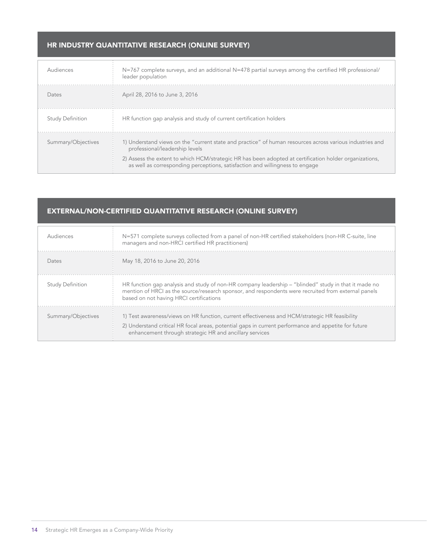### HR INDUSTRY QUANTITATIVE RESEARCH (ONLINE SURVEY)

| Audiences               | $N=767$ complete surveys, and an additional $N=478$ partial surveys among the certified HR professional/<br>leader population                                                                                                                                                                                                        |
|-------------------------|--------------------------------------------------------------------------------------------------------------------------------------------------------------------------------------------------------------------------------------------------------------------------------------------------------------------------------------|
| Dates                   | April 28, 2016 to June 3, 2016                                                                                                                                                                                                                                                                                                       |
| <b>Study Definition</b> | HR function gap analysis and study of current certification holders                                                                                                                                                                                                                                                                  |
| Summary/Objectives      | 1) Understand views on the "current state and practice" of human resources across various industries and<br>professional/leadership levels<br>2) Assess the extent to which HCM/strategic HR has been adopted at certification holder organizations,<br>as well as corresponding perceptions, satisfaction and willingness to engage |

# EXTERNAL/NON-CERTIFIED QUANTITATIVE RESEARCH (ONLINE SURVEY)

| Audiences               | N=571 complete surveys collected from a panel of non-HR certified stakeholders (non-HR C-suite, line<br>managers and non-HRCI certified HR practitioners)                                                                                                         |
|-------------------------|-------------------------------------------------------------------------------------------------------------------------------------------------------------------------------------------------------------------------------------------------------------------|
| Dates                   | May 18, 2016 to June 20, 2016                                                                                                                                                                                                                                     |
| <b>Study Definition</b> | HR function gap analysis and study of non-HR company leadership – "blinded" study in that it made no<br>mention of HRCI as the source/research sponsor, and respondents were recruited from external panels<br>based on not having HRCI certifications            |
| Summary/Objectives      | 1) Test awareness/views on HR function, current effectiveness and HCM/strategic HR feasibility<br>2) Understand critical HR focal areas, potential gaps in current performance and appetite for future<br>enhancement through strategic HR and ancillary services |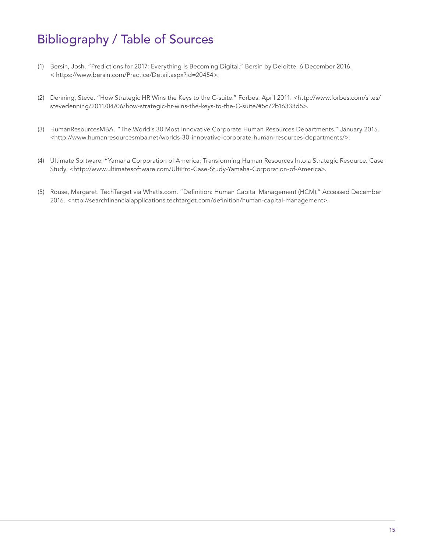# **Bibliography / Table of Sources**

- (1) Bersin, Josh. "Predictions for 2017: Everything Is Becoming Digital." Bersin by Deloitte. 6 December 2016. < https://www.bersin.com/Practice/Detail.aspx?id=20454>.
- (2) Denning, Steve. "How Strategic HR Wins the Keys to the C-suite." Forbes. April 2011. <http://www.forbes.com/sites/ stevedenning/2011/04/06/how-strategic-hr-wins-the-keys-to-the-C-suite/#5c72b16333d5>.
- (3) HumanResourcesMBA. "The World's 30 Most Innovative Corporate Human Resources Departments." January 2015. <http://www.humanresourcesmba.net/worlds-30-innovative-corporate-human-resources-departments/>.
- (4) Ultimate Software. "Yamaha Corporation of America: Transforming Human Resources Into a Strategic Resource. Case Study. <http://www.ultimatesoftware.com/UltiPro-Case-Study-Yamaha-Corporation-of-America>.
- (5) Rouse, Margaret. TechTarget via Whatls.com. "Definition: Human Capital Management (HCM)." Accessed December 2016. <http://searchfinancialapplications.techtarget.com/definition/human-capital-management>.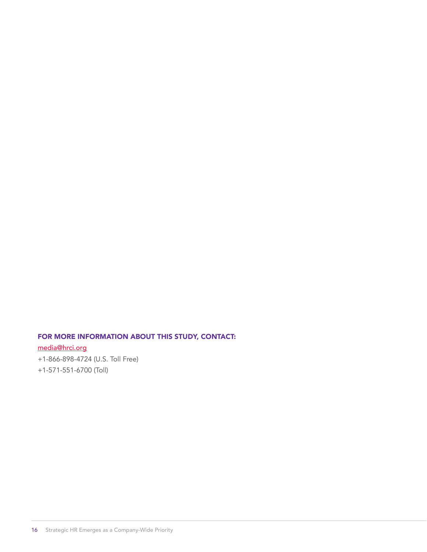# FOR MORE INFORMATION ABOUT THIS STUDY, CONTACT:

media@hrci.org +1-866-898-4724 (U.S. Toll Free) +1-571-551-6700 (Toll)